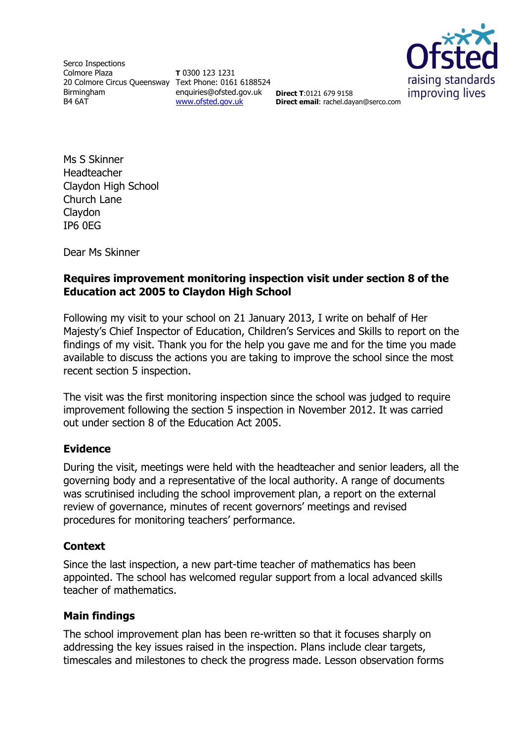Serco Inspections Colmore Plaza 20 Colmore Circus Queensway Text Phone: 0161 6188524 Birmingham B4 6AT

**T** 0300 123 1231 enquiries@ofsted.gov.uk [www.ofsted.gov.uk](http://www.ofsted.gov.uk/)



**Direct T**:0121 679 9158 **Direct email**: rachel.dayan@serco.com

Ms S Skinner Headteacher Claydon High School Church Lane Claydon IP6 0EG

Dear Ms Skinner

# **Requires improvement monitoring inspection visit under section 8 of the Education act 2005 to Claydon High School**

Following my visit to your school on 21 January 2013, I write on behalf of Her Majesty's Chief Inspector of Education, Children's Services and Skills to report on the findings of my visit. Thank you for the help you gave me and for the time you made available to discuss the actions you are taking to improve the school since the most recent section 5 inspection.

The visit was the first monitoring inspection since the school was judged to require improvement following the section 5 inspection in November 2012. It was carried out under section 8 of the Education Act 2005.

## **Evidence**

During the visit, meetings were held with the headteacher and senior leaders, all the governing body and a representative of the local authority. A range of documents was scrutinised including the school improvement plan, a report on the external review of governance, minutes of recent governors' meetings and revised procedures for monitoring teachers' performance.

## **Context**

Since the last inspection, a new part-time teacher of mathematics has been appointed. The school has welcomed regular support from a local advanced skills teacher of mathematics.

## **Main findings**

The school improvement plan has been re-written so that it focuses sharply on addressing the key issues raised in the inspection. Plans include clear targets, timescales and milestones to check the progress made. Lesson observation forms